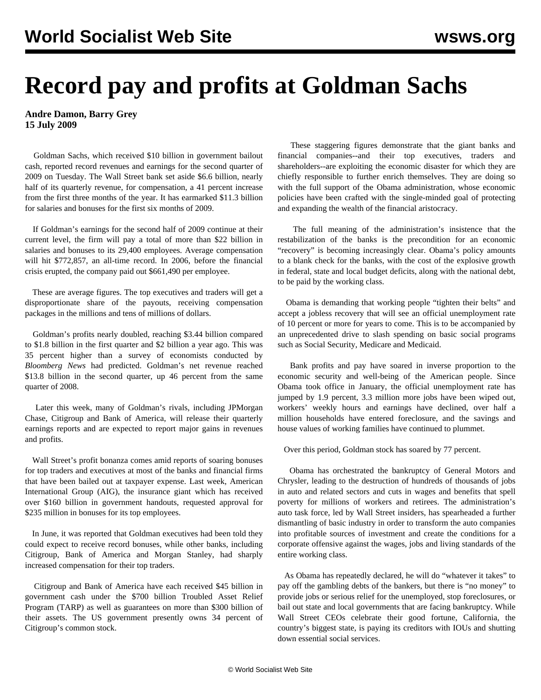## **Record pay and profits at Goldman Sachs**

**Andre Damon, Barry Grey 15 July 2009**

 Goldman Sachs, which received \$10 billion in government bailout cash, reported record revenues and earnings for the second quarter of 2009 on Tuesday. The Wall Street bank set aside \$6.6 billion, nearly half of its quarterly revenue, for compensation, a 41 percent increase from the first three months of the year. It has earmarked \$11.3 billion for salaries and bonuses for the first six months of 2009.

 If Goldman's earnings for the second half of 2009 continue at their current level, the firm will pay a total of more than \$22 billion in salaries and bonuses to its 29,400 employees. Average compensation will hit \$772,857, an all-time record. In 2006, before the financial crisis erupted, the company paid out \$661,490 per employee.

 These are average figures. The top executives and traders will get a disproportionate share of the payouts, receiving compensation packages in the millions and tens of millions of dollars.

 Goldman's profits nearly doubled, reaching \$3.44 billion compared to \$1.8 billion in the first quarter and \$2 billion a year ago. This was 35 percent higher than a survey of economists conducted by *Bloomberg News* had predicted. Goldman's net revenue reached \$13.8 billion in the second quarter, up 46 percent from the same quarter of 2008.

 Later this week, many of Goldman's rivals, including JPMorgan Chase, Citigroup and Bank of America, will release their quarterly earnings reports and are expected to report major gains in revenues and profits.

 Wall Street's profit bonanza comes amid reports of soaring bonuses for top traders and executives at most of the banks and financial firms that have been bailed out at taxpayer expense. Last week, American International Group (AIG), the insurance giant which has received over \$160 billion in government handouts, requested approval for \$235 million in bonuses for its top employees.

 In June, it was reported that Goldman executives had been told they could expect to receive record bonuses, while other banks, including Citigroup, Bank of America and Morgan Stanley, had sharply increased compensation for their top traders.

 Citigroup and Bank of America have each received \$45 billion in government cash under the \$700 billion Troubled Asset Relief Program (TARP) as well as guarantees on more than \$300 billion of their assets. The US government presently owns 34 percent of Citigroup's common stock.

 These staggering figures demonstrate that the giant banks and financial companies--and their top executives, traders and shareholders--are exploiting the economic disaster for which they are chiefly responsible to further enrich themselves. They are doing so with the full support of the Obama administration, whose economic policies have been crafted with the single-minded goal of protecting and expanding the wealth of the financial aristocracy.

 The full meaning of the administration's insistence that the restabilization of the banks is the precondition for an economic "recovery" is becoming increasingly clear. Obama's policy amounts to a blank check for the banks, with the cost of the explosive growth in federal, state and local budget deficits, along with the national debt, to be paid by the working class.

 Obama is demanding that working people "tighten their belts" and accept a jobless recovery that will see an official unemployment rate of 10 percent or more for years to come. This is to be accompanied by an unprecedented drive to slash spending on basic social programs such as Social Security, Medicare and Medicaid.

 Bank profits and pay have soared in inverse proportion to the economic security and well-being of the American people. Since Obama took office in January, the official unemployment rate has jumped by 1.9 percent, 3.3 million more jobs have been wiped out, workers' weekly hours and earnings have declined, over half a million households have entered foreclosure, and the savings and house values of working families have continued to plummet.

Over this period, Goldman stock has soared by 77 percent.

 Obama has orchestrated the bankruptcy of General Motors and Chrysler, leading to the destruction of hundreds of thousands of jobs in auto and related sectors and cuts in wages and benefits that spell poverty for millions of workers and retirees. The administration's auto task force, led by Wall Street insiders, has spearheaded a further dismantling of basic industry in order to transform the auto companies into profitable sources of investment and create the conditions for a corporate offensive against the wages, jobs and living standards of the entire working class.

 As Obama has repeatedly declared, he will do "whatever it takes" to pay off the gambling debts of the bankers, but there is "no money" to provide jobs or serious relief for the unemployed, stop foreclosures, or bail out state and local governments that are facing bankruptcy. While Wall Street CEOs celebrate their good fortune, California, the country's biggest state, is paying its creditors with IOUs and shutting down essential social services.